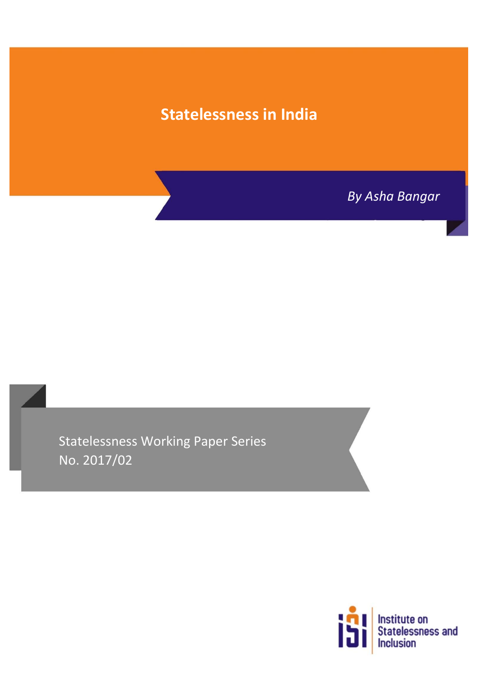# **Statelessness in India**

*By Asha Bangar*

Statelessness Working Paper Series No. 2017/02

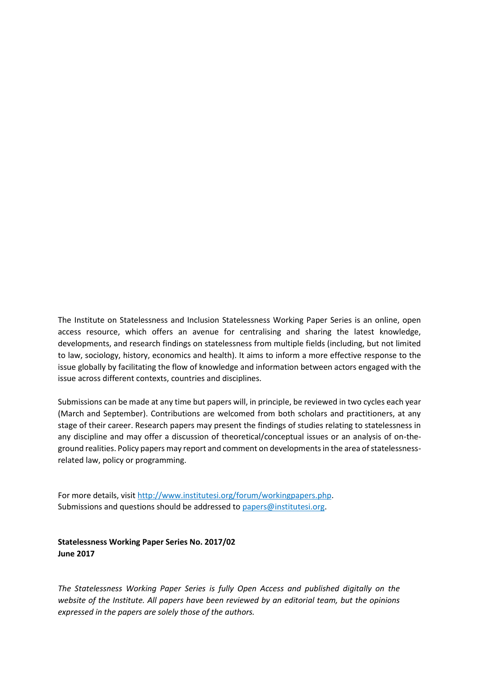The Institute on Statelessness and Inclusion Statelessness Working Paper Series is an online, open access resource, which offers an avenue for centralising and sharing the latest knowledge, developments, and research findings on statelessness from multiple fields (including, but not limited to law, sociology, history, economics and health). It aims to inform a more effective response to the issue globally by facilitating the flow of knowledge and information between actors engaged with the issue across different contexts, countries and disciplines.

Submissions can be made at any time but papers will, in principle, be reviewed in two cycles each year (March and September). Contributions are welcomed from both scholars and practitioners, at any stage of their career. Research papers may present the findings of studies relating to statelessness in any discipline and may offer a discussion of theoretical/conceptual issues or an analysis of on-theground realities. Policy papers may report and comment on developments in the area of statelessnessrelated law, policy or programming.

For more details, visit [http://www.institutesi.org/forum/workingpapers.php.](http://www.institutesi.org/forum/workingpapers.php) Submissions and questions should be addressed to [papers@institutesi.org.](mailto:papers@institutesi.org)

**Statelessness Working Paper Series No. 2017/02 June 2017**

*The Statelessness Working Paper Series is fully Open Access and published digitally on the website of the Institute. All papers have been reviewed by an editorial team, but the opinions expressed in the papers are solely those of the authors.*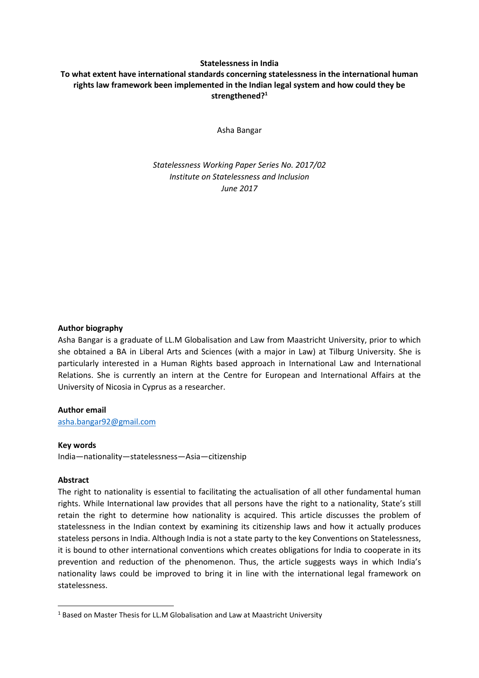## **Statelessness in India**

# **To what extent have international standards concerning statelessness in the international human rights law framework been implemented in the Indian legal system and how could they be strengthened?<sup>1</sup>**

Asha Bangar

*Statelessness Working Paper Series No. 2017/02 Institute on Statelessness and Inclusion June 2017*

### **Author biography**

Asha Bangar is a graduate of LL.M Globalisation and Law from Maastricht University, prior to which she obtained a BA in Liberal Arts and Sciences (with a major in Law) at Tilburg University. She is particularly interested in a Human Rights based approach in International Law and International Relations. She is currently an intern at the Centre for European and International Affairs at the University of Nicosia in Cyprus as a researcher.

## **Author email**

[asha.bangar92@gmail.com](mailto:asha.bangar92@gmail.com)

## **Key words**

India—nationality—statelessness—Asia—citizenship

# **Abstract**

**.** 

The right to nationality is essential to facilitating the actualisation of all other fundamental human rights. While International law provides that all persons have the right to a nationality, State's still retain the right to determine how nationality is acquired. This article discusses the problem of statelessness in the Indian context by examining its citizenship laws and how it actually produces stateless persons in India. Although India is not a state party to the key Conventions on Statelessness, it is bound to other international conventions which creates obligations for India to cooperate in its prevention and reduction of the phenomenon. Thus, the article suggests ways in which India's nationality laws could be improved to bring it in line with the international legal framework on statelessness.

<sup>&</sup>lt;sup>1</sup> Based on Master Thesis for LL.M Globalisation and Law at Maastricht University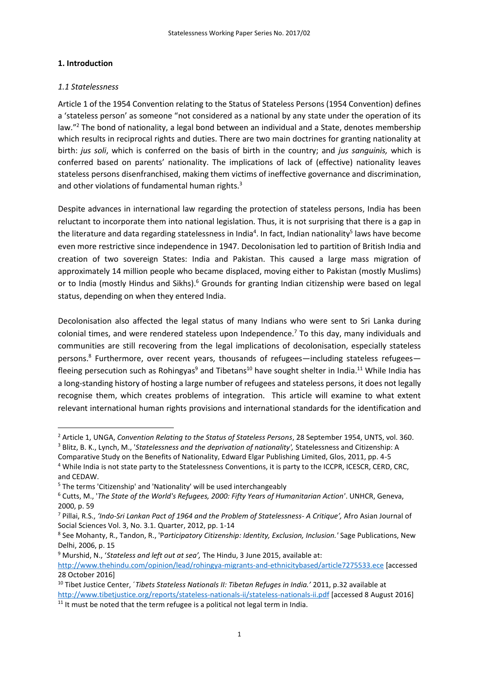## **1. Introduction**

## *1.1 Statelessness*

1

Article 1 of the 1954 Convention relating to the Status of Stateless Persons (1954 Convention) defines a 'stateless person' as someone "not considered as a national by any state under the operation of its law."<sup>2</sup> The bond of nationality, a legal bond between an individual and a State, denotes membership which results in reciprocal rights and duties. There are two main doctrines for granting nationality at birth: *jus soli*, which is conferred on the basis of birth in the country; and *jus sanguinis,* which is conferred based on parents' nationality. The implications of lack of (effective) nationality leaves stateless persons disenfranchised, making them victims of ineffective governance and discrimination, and other violations of fundamental human rights.<sup>3</sup>

Despite advances in international law regarding the protection of stateless persons, India has been reluctant to incorporate them into national legislation. Thus, it is not surprising that there is a gap in the literature and data regarding statelessness in India<sup>4</sup>. In fact, Indian nationality<sup>5</sup> laws have become even more restrictive since independence in 1947. Decolonisation led to partition of British India and creation of two sovereign States: India and Pakistan. This caused a large mass migration of approximately 14 million people who became displaced, moving either to Pakistan (mostly Muslims) or to India (mostly Hindus and Sikhs).<sup>6</sup> Grounds for granting Indian citizenship were based on legal status, depending on when they entered India.

Decolonisation also affected the legal status of many Indians who were sent to Sri Lanka during colonial times, and were rendered stateless upon Independence.<sup>7</sup> To this day, many individuals and communities are still recovering from the legal implications of decolonisation, especially stateless persons.<sup>8</sup> Furthermore, over recent years, thousands of refugees—including stateless refugees fleeing persecution such as Rohingyas<sup>9</sup> and Tibetans<sup>10</sup> have sought shelter in India.<sup>11</sup> While India has a long-standing history of hosting a large number of refugees and stateless persons, it does not legally recognise them, which creates problems of integration. This article will examine to what extent relevant international human rights provisions and international standards for the identification and

<sup>9</sup> Murshid, N., '*Stateless and left out at sea',* The Hindu, 3 June 2015, available at:

<sup>2</sup> Article 1, UNGA, *Convention Relating to the Status of Stateless Persons*, 28 September 1954, UNTS, vol. 360. <sup>3</sup> Blitz, B. K., Lynch, M., '*Statelessness and the deprivation of nationality',* Statelessness and Citizenship: A

Comparative Study on the Benefits of Nationality, Edward Elgar Publishing Limited, Glos, 2011, pp. 4-5 <sup>4</sup> While India is not state party to the Statelessness Conventions, it is party to the ICCPR, ICESCR, CERD, CRC, and CEDAW.

<sup>5</sup> The terms 'Citizenship' and 'Nationality' will be used interchangeably

<sup>6</sup> Cutts, M., '*The State of the World's Refugees, 2000: Fifty Years of Humanitarian Action'*. UNHCR, Geneva, 2000, p. 59

<sup>7</sup> Pillai, R.S., *'Indo-Sri Lankan Pact of 1964 and the Problem of Statelessness- A Critique',* Afro Asian Journal of Social Sciences Vol. 3, No. 3.1. Quarter, 2012, pp. 1-14

<sup>8</sup> See Mohanty, R., Tandon, R., 'P*articipatory Citizenship: Identity, Exclusion, Inclusion.'* Sage Publications, New Delhi, 2006, p. 15

<http://www.thehindu.com/opinion/lead/rohingya-migrants-and-ethnicitybased/article7275533.ece> [accessed 28 October 2016]

<sup>10</sup> Tibet Justice Center, ´*Tibets Stateless Nationals II: Tibetan Refuges in India.'* 2011, p.32 available at <http://www.tibetjustice.org/reports/stateless-nationals-ii/stateless-nationals-ii.pdf> [accessed 8 August 2016]

 $11$  It must be noted that the term refugee is a political not legal term in India.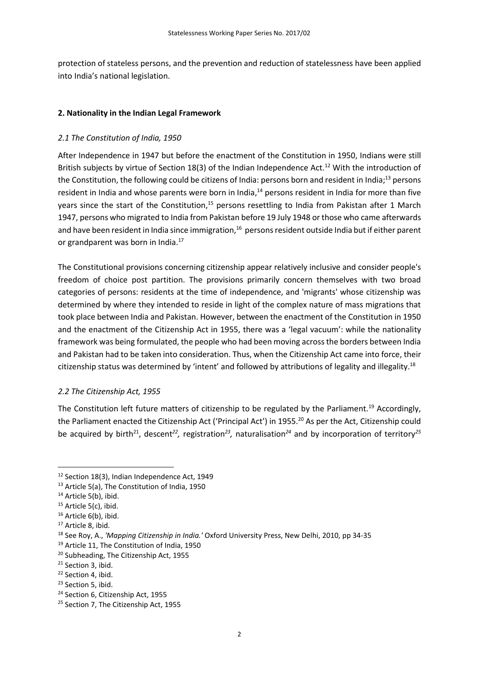protection of stateless persons, and the prevention and reduction of statelessness have been applied into India's national legislation.

## **2. Nationality in the Indian Legal Framework**

## *2.1 The Constitution of India, 1950*

After Independence in 1947 but before the enactment of the Constitution in 1950, Indians were still British subjects by virtue of Section 18(3) of the Indian Independence Act.<sup>12</sup> With the introduction of the Constitution, the following could be citizens of India: persons born and resident in India;<sup>13</sup> persons resident in India and whose parents were born in India,<sup>14</sup> persons resident in India for more than five years since the start of the Constitution, $15$  persons resettling to India from Pakistan after 1 March 1947, persons who migrated to India from Pakistan before 19 July 1948 or those who came afterwards and have been resident in India since immigration,<sup>16</sup> persons resident outside India but if either parent or grandparent was born in India.<sup>17</sup>

The Constitutional provisions concerning citizenship appear relatively inclusive and consider people's freedom of choice post partition. The provisions primarily concern themselves with two broad categories of persons: residents at the time of independence, and 'migrants' whose citizenship was determined by where they intended to reside in light of the complex nature of mass migrations that took place between India and Pakistan. However, between the enactment of the Constitution in 1950 and the enactment of the Citizenship Act in 1955, there was a 'legal vacuum': while the nationality framework was being formulated, the people who had been moving across the borders between India and Pakistan had to be taken into consideration. Thus, when the Citizenship Act came into force, their citizenship status was determined by 'intent' and followed by attributions of legality and illegality.<sup>18</sup>

### *2.2 The Citizenship Act, 1955*

The Constitution left future matters of citizenship to be regulated by the Parliament.<sup>19</sup> Accordingly, the Parliament enacted the Citizenship Act ('Principal Act') in 1955.<sup>20</sup> As per the Act, Citizenship could be acquired by birth<sup>21</sup>, descent<sup>22</sup>, registration<sup>23</sup>, naturalisation<sup>24</sup> and by incorporation of territory<sup>25</sup>

<sup>&</sup>lt;sup>12</sup> Section 18(3), Indian Independence Act, 1949

<sup>13</sup> Article 5(a), The Constitution of India, 1950

<sup>&</sup>lt;sup>14</sup> Article 5(b), ibid.

<sup>&</sup>lt;sup>15</sup> Article 5(c), ibid.

<sup>&</sup>lt;sup>16</sup> Article 6(b), ibid.

<sup>&</sup>lt;sup>17</sup> Article 8, ibid.

<sup>18</sup> See Roy, A., *'Mapping Citizenship in India.'* Oxford University Press, New Delhi, 2010, pp 34-35

<sup>&</sup>lt;sup>19</sup> Article 11, The Constitution of India, 1950

<sup>20</sup> Subheading, The Citizenship Act, 1955

<sup>&</sup>lt;sup>21</sup> Section 3, ibid.

<sup>&</sup>lt;sup>22</sup> Section 4, ibid.

<sup>&</sup>lt;sup>23</sup> Section 5, ibid.

<sup>24</sup> Section 6, Citizenship Act, 1955

<sup>&</sup>lt;sup>25</sup> Section 7. The Citizenship Act, 1955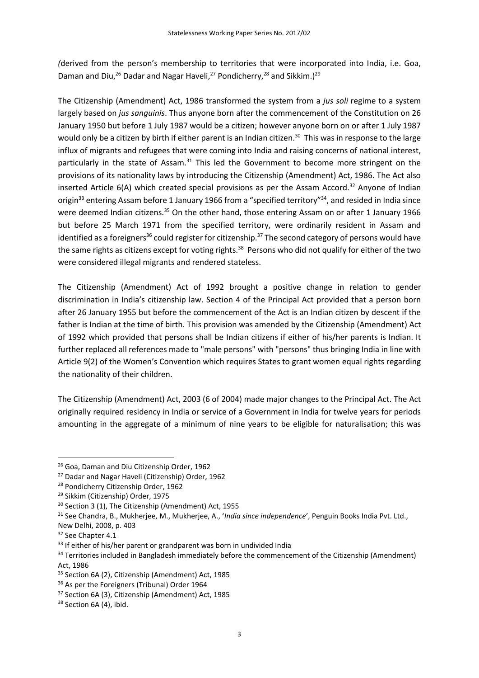*(*derived from the person's membership to territories that were incorporated into India, i.e. Goa, Daman and Diu,<sup>26</sup> Dadar and Nagar Haveli,<sup>27</sup> Pondicherry,<sup>28</sup> and Sikkim.)<sup>29</sup>

The Citizenship (Amendment) Act, 1986 transformed the system from a *jus soli* regime to a system largely based on *jus sanguinis*. Thus anyone born after the commencement of the Constitution on 26 January 1950 but before 1 July 1987 would be a citizen; however anyone born on or after 1 July 1987 would only be a citizen by birth if either parent is an Indian citizen.<sup>30</sup> This was in response to the large influx of migrants and refugees that were coming into India and raising concerns of national interest, particularly in the state of Assam.<sup>31</sup> This led the Government to become more stringent on the provisions of its nationality laws by introducing the Citizenship (Amendment) Act, 1986. The Act also inserted Article  $6(A)$  which created special provisions as per the Assam Accord.<sup>32</sup> Anyone of Indian origin<sup>33</sup> entering Assam before 1 January 1966 from a "specified territory"<sup>34</sup>, and resided in India since were deemed Indian citizens.<sup>35</sup> On the other hand, those entering Assam on or after 1 January 1966 but before 25 March 1971 from the specified territory, were ordinarily resident in Assam and identified as a foreigners<sup>36</sup> could register for citizenship.<sup>37</sup> The second category of persons would have the same rights as citizens except for voting rights.<sup>38</sup> Persons who did not qualify for either of the two were considered illegal migrants and rendered stateless.

The Citizenship (Amendment) Act of 1992 brought a positive change in relation to gender discrimination in India's citizenship law. Section 4 of the Principal Act provided that a person born after 26 January 1955 but before the commencement of the Act is an Indian citizen by descent if the father is Indian at the time of birth. This provision was amended by the Citizenship (Amendment) Act of 1992 which provided that persons shall be Indian citizens if either of his/her parents is Indian. It further replaced all references made to "male persons" with "persons" thus bringing India in line with Article 9(2) of the Women's Convention which requires States to grant women equal rights regarding the nationality of their children.

The Citizenship (Amendment) Act, 2003 (6 of 2004) made major changes to the Principal Act. The Act originally required residency in India or service of a Government in India for twelve years for periods amounting in the aggregate of a minimum of nine years to be eligible for naturalisation; this was

<sup>&</sup>lt;sup>26</sup> Goa, Daman and Diu Citizenship Order, 1962

<sup>&</sup>lt;sup>27</sup> Dadar and Nagar Haveli (Citizenship) Order, 1962

<sup>28</sup> Pondicherry Citizenship Order, 1962

<sup>&</sup>lt;sup>29</sup> Sikkim (Citizenship) Order, 1975

<sup>30</sup> Section 3 (1), The Citizenship (Amendment) Act, 1955

<sup>31</sup> See Chandra, B., Mukherjee, M., Mukherjee, A., '*India since independence*', Penguin Books India Pvt. Ltd., New Delhi, 2008, p. 403

<sup>&</sup>lt;sup>32</sup> See Chapter 4.1

<sup>&</sup>lt;sup>33</sup> If either of his/her parent or grandparent was born in undivided India

<sup>&</sup>lt;sup>34</sup> Territories included in Bangladesh immediately before the commencement of the Citizenship (Amendment) Act, 1986

<sup>&</sup>lt;sup>35</sup> Section 6A (2), Citizenship (Amendment) Act, 1985

<sup>&</sup>lt;sup>36</sup> As per the Foreigners (Tribunal) Order 1964

<sup>37</sup> Section 6A (3), Citizenship (Amendment) Act, 1985

<sup>&</sup>lt;sup>38</sup> Section 6A (4), ibid.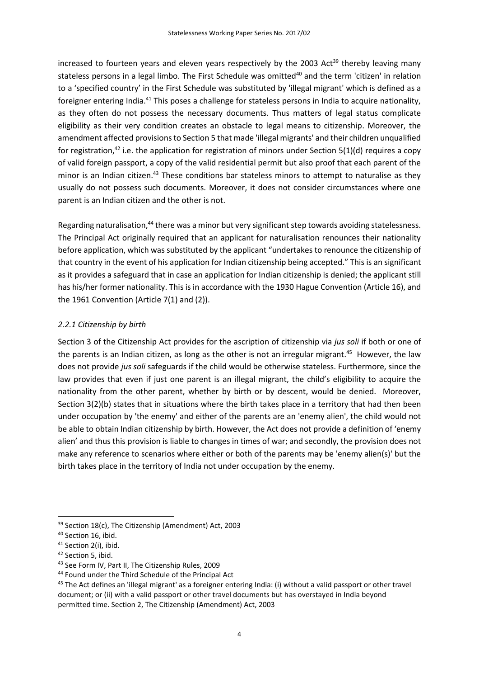increased to fourteen years and eleven years respectively by the 2003 Act<sup>39</sup> thereby leaving many stateless persons in a legal limbo. The First Schedule was omitted<sup>40</sup> and the term 'citizen' in relation to a 'specified country' in the First Schedule was substituted by 'illegal migrant' which is defined as a foreigner entering India.<sup>41</sup> This poses a challenge for stateless persons in India to acquire nationality, as they often do not possess the necessary documents. Thus matters of legal status complicate eligibility as their very condition creates an obstacle to legal means to citizenship. Moreover, the amendment affected provisions to Section 5 that made 'illegal migrants' and their children unqualified for registration,<sup>42</sup> i.e. the application for registration of minors under Section 5(1)(d) requires a copy of valid foreign passport, a copy of the valid residential permit but also proof that each parent of the minor is an Indian citizen.<sup>43</sup> These conditions bar stateless minors to attempt to naturalise as they usually do not possess such documents. Moreover, it does not consider circumstances where one parent is an Indian citizen and the other is not.

Regarding naturalisation,<sup>44</sup> there was a minor but very significant step towards avoiding statelessness. The Principal Act originally required that an applicant for naturalisation renounces their nationality before application, which was substituted by the applicant "undertakes to renounce the citizenship of that country in the event of his application for Indian citizenship being accepted." This is an significant as it provides a safeguard that in case an application for Indian citizenship is denied; the applicant still has his/her former nationality. This is in accordance with the 1930 Hague Convention (Article 16), and the 1961 Convention (Article 7(1) and (2)).

# *2.2.1 Citizenship by birth*

Section 3 of the Citizenship Act provides for the ascription of citizenship via *jus soli* if both or one of the parents is an Indian citizen, as long as the other is not an irregular migrant.<sup>45</sup> However, the law does not provide *jus soli* safeguards if the child would be otherwise stateless. Furthermore, since the law provides that even if just one parent is an illegal migrant, the child's eligibility to acquire the nationality from the other parent, whether by birth or by descent, would be denied. Moreover, Section 3(2)(b) states that in situations where the birth takes place in a territory that had then been under occupation by 'the enemy' and either of the parents are an 'enemy alien', the child would not be able to obtain Indian citizenship by birth. However, the Act does not provide a definition of 'enemy alien' and thus this provision is liable to changes in times of war; and secondly, the provision does not make any reference to scenarios where either or both of the parents may be 'enemy alien(s)' but the birth takes place in the territory of India not under occupation by the enemy.

 $\overline{a}$ <sup>39</sup> Section 18(c), The Citizenship (Amendment) Act, 2003

<sup>&</sup>lt;sup>40</sup> Section 16, ibid.

<sup>&</sup>lt;sup>41</sup> Section 2(i), ibid.

<sup>&</sup>lt;sup>42</sup> Section 5, ibid.

<sup>43</sup> See Form IV, Part II, The Citizenship Rules, 2009

<sup>44</sup> Found under the Third Schedule of the Principal Act

 $45$  The Act defines an 'illegal migrant' as a foreigner entering India: (i) without a valid passport or other travel document; or (ii) with a valid passport or other travel documents but has overstayed in India beyond permitted time. Section 2, The Citizenship (Amendment) Act, 2003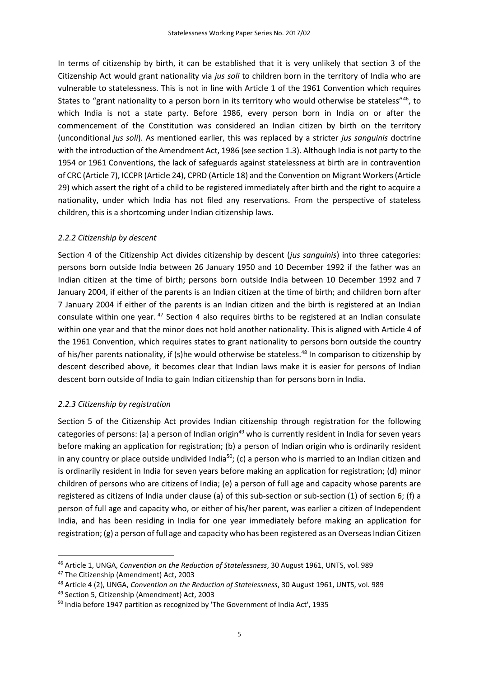In terms of citizenship by birth, it can be established that it is very unlikely that section 3 of the Citizenship Act would grant nationality via *jus soli* to children born in the territory of India who are vulnerable to statelessness. This is not in line with Article 1 of the 1961 Convention which requires States to "grant nationality to a person born in its territory who would otherwise be stateless"46, to which India is not a state party. Before 1986, every person born in India on or after the commencement of the Constitution was considered an Indian citizen by birth on the territory (unconditional *jus soli*). As mentioned earlier, this was replaced by a stricter *jus sanguinis* doctrine with the introduction of the Amendment Act, 1986 (see section 1.3). Although India is not party to the 1954 or 1961 Conventions, the lack of safeguards against statelessness at birth are in contravention of CRC (Article 7), ICCPR (Article 24), CPRD (Article 18) and the Convention on Migrant Workers (Article 29) which assert the right of a child to be registered immediately after birth and the right to acquire a nationality, under which India has not filed any reservations. From the perspective of stateless children, this is a shortcoming under Indian citizenship laws.

# *2.2.2 Citizenship by descent*

Section 4 of the Citizenship Act divides citizenship by descent (*jus sanguinis*) into three categories: persons born outside India between 26 January 1950 and 10 December 1992 if the father was an Indian citizen at the time of birth; persons born outside India between 10 December 1992 and 7 January 2004, if either of the parents is an Indian citizen at the time of birth; and children born after 7 January 2004 if either of the parents is an Indian citizen and the birth is registered at an Indian consulate within one year. <sup>47</sup> Section 4 also requires births to be registered at an Indian consulate within one year and that the minor does not hold another nationality. This is aligned with Article 4 of the 1961 Convention, which requires states to grant nationality to persons born outside the country of his/her parents nationality, if (s)he would otherwise be stateless.<sup>48</sup> In comparison to citizenship by descent described above, it becomes clear that Indian laws make it is easier for persons of Indian descent born outside of India to gain Indian citizenship than for persons born in India.

# *2.2.3 Citizenship by registration*

Section 5 of the Citizenship Act provides Indian citizenship through registration for the following categories of persons: (a) a person of Indian origin<sup>49</sup> who is currently resident in India for seven years before making an application for registration; (b) a person of Indian origin who is ordinarily resident in any country or place outside undivided India<sup>50</sup>; (c) a person who is married to an Indian citizen and is ordinarily resident in India for seven years before making an application for registration; (d) minor children of persons who are citizens of India; (e) a person of full age and capacity whose parents are registered as citizens of India under clause (a) of this sub-section or sub-section (1) of section 6; (f) a person of full age and capacity who, or either of his/her parent, was earlier a citizen of Independent India, and has been residing in India for one year immediately before making an application for registration; (g) a person of full age and capacity who has been registered as an Overseas Indian Citizen

<sup>46</sup> Article 1, UNGA, *Convention on the Reduction of Statelessness*, 30 August 1961, UNTS, vol. 989

<sup>47</sup> The Citizenship (Amendment) Act, 2003

<sup>48</sup> Article 4 (2), UNGA, *Convention on the Reduction of Statelessness*, 30 August 1961, UNTS, vol. 989

<sup>49</sup> Section 5, Citizenship (Amendment) Act, 2003

 $50$  India before 1947 partition as recognized by 'The Government of India Act', 1935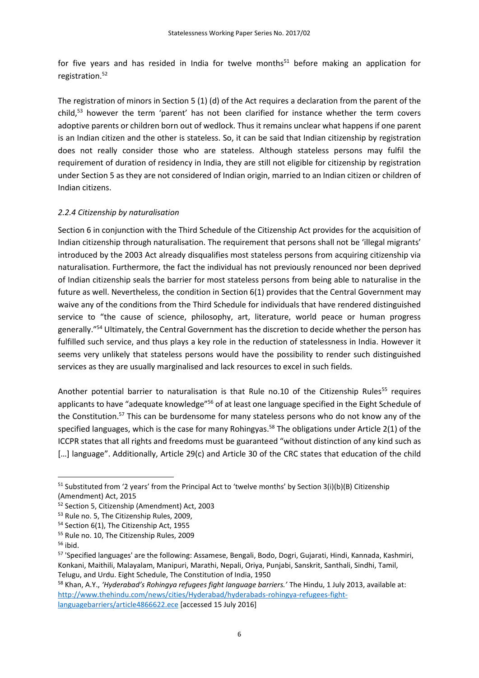for five years and has resided in India for twelve months $51$  before making an application for registration.<sup>52</sup>

The registration of minors in Section 5 (1) (d) of the Act requires a declaration from the parent of the child, <sup>53</sup> however the term 'parent' has not been clarified for instance whether the term covers adoptive parents or children born out of wedlock. Thus it remains unclear what happens if one parent is an Indian citizen and the other is stateless. So, it can be said that Indian citizenship by registration does not really consider those who are stateless. Although stateless persons may fulfil the requirement of duration of residency in India, they are still not eligible for citizenship by registration under Section 5 as they are not considered of Indian origin, married to an Indian citizen or children of Indian citizens.

# *2.2.4 Citizenship by naturalisation*

Section 6 in conjunction with the Third Schedule of the Citizenship Act provides for the acquisition of Indian citizenship through naturalisation. The requirement that persons shall not be 'illegal migrants' introduced by the 2003 Act already disqualifies most stateless persons from acquiring citizenship via naturalisation. Furthermore, the fact the individual has not previously renounced nor been deprived of Indian citizenship seals the barrier for most stateless persons from being able to naturalise in the future as well. Nevertheless, the condition in Section 6(1) provides that the Central Government may waive any of the conditions from the Third Schedule for individuals that have rendered distinguished service to "the cause of science, philosophy, art, literature, world peace or human progress generally."<sup>54</sup> Ultimately, the Central Government has the discretion to decide whether the person has fulfilled such service, and thus plays a key role in the reduction of statelessness in India. However it seems very unlikely that stateless persons would have the possibility to render such distinguished services as they are usually marginalised and lack resources to excel in such fields.

Another potential barrier to naturalisation is that Rule no.10 of the Citizenship Rules<sup>55</sup> requires applicants to have "adequate knowledge"<sup>56</sup> of at least one language specified in the Eight Schedule of the Constitution.<sup>57</sup> This can be burdensome for many stateless persons who do not know any of the specified languages, which is the case for many Rohingyas.<sup>58</sup> The obligations under Article 2(1) of the ICCPR states that all rights and freedoms must be guaranteed "without distinction of any kind such as [...] language". Additionally, Article 29(c) and Article 30 of the CRC states that education of the child

1

<sup>58</sup> Khan, A.Y., *'Hyderabad's Rohingya refugees fight language barriers.'* The Hindu, 1 July 2013, available at: [http://www.thehindu.com/news/cities/Hyderabad/hyderabads-rohingya-refugees-fight](http://www.thehindu.com/news/cities/Hyderabad/hyderabads-rohingya-refugees-fight-languagebarriers/article4866622.ece)[languagebarriers/article4866622.ece](http://www.thehindu.com/news/cities/Hyderabad/hyderabads-rohingya-refugees-fight-languagebarriers/article4866622.ece) [accessed 15 July 2016]

 $51$  Substituted from '2 years' from the Principal Act to 'twelve months' by Section 3(i)(b)(B) Citizenship (Amendment) Act, 2015

<sup>52</sup> Section 5, Citizenship (Amendment) Act, 2003

<sup>53</sup> Rule no. 5, The Citizenship Rules, 2009,

<sup>54</sup> Section 6(1), The Citizenship Act, 1955

<sup>55</sup> Rule no. 10, The Citizenship Rules, 2009

 $56$  ibid.

<sup>57</sup> 'Specified languages' are the following: Assamese, Bengali, Bodo, Dogri, Gujarati, Hindi, Kannada, Kashmiri, Konkani, Maithili, Malayalam, Manipuri, Marathi, Nepali, Oriya, Punjabi, Sanskrit, Santhali, Sindhi, Tamil, Telugu, and Urdu. Eight Schedule, The Constitution of India, 1950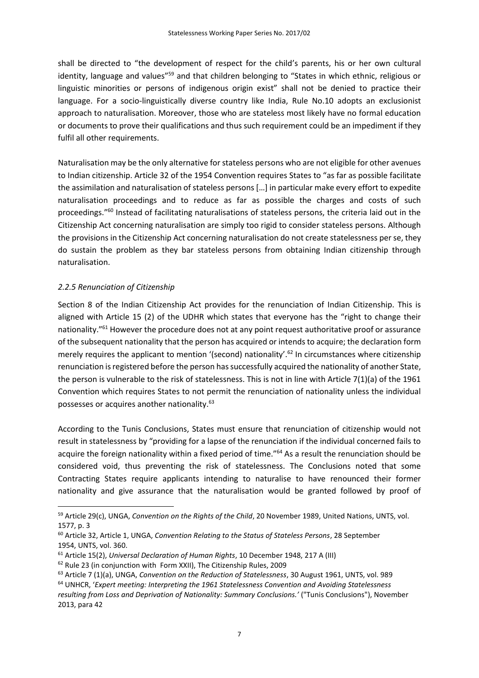shall be directed to "the development of respect for the child's parents, his or her own cultural identity, language and values"<sup>59</sup> and that children belonging to "States in which ethnic, religious or linguistic minorities or persons of indigenous origin exist" shall not be denied to practice their language. For a socio-linguistically diverse country like India, Rule No.10 adopts an exclusionist approach to naturalisation. Moreover, those who are stateless most likely have no formal education or documents to prove their qualifications and thus such requirement could be an impediment if they fulfil all other requirements.

Naturalisation may be the only alternative for stateless persons who are not eligible for other avenues to Indian citizenship. Article 32 of the 1954 Convention requires States to "as far as possible facilitate the assimilation and naturalisation of stateless persons […] in particular make every effort to expedite naturalisation proceedings and to reduce as far as possible the charges and costs of such proceedings."<sup>60</sup> Instead of facilitating naturalisations of stateless persons, the criteria laid out in the Citizenship Act concerning naturalisation are simply too rigid to consider stateless persons. Although the provisions in the Citizenship Act concerning naturalisation do not create statelessness per se, they do sustain the problem as they bar stateless persons from obtaining Indian citizenship through naturalisation.

# *2.2.5 Renunciation of Citizenship*

**.** 

Section 8 of the Indian Citizenship Act provides for the renunciation of Indian Citizenship. This is aligned with Article 15 (2) of the UDHR which states that everyone has the "right to change their nationality."<sup>61</sup> However the procedure does not at any point request authoritative proof or assurance of the subsequent nationality that the person has acquired or intends to acquire; the declaration form merely requires the applicant to mention '(second) nationality'.<sup>62</sup> In circumstances where citizenship renunciation is registered before the person has successfully acquired the nationality of another State, the person is vulnerable to the risk of statelessness. This is not in line with Article 7(1)(a) of the 1961 Convention which requires States to not permit the renunciation of nationality unless the individual possesses or acquires another nationality.<sup>63</sup>

According to the Tunis Conclusions, States must ensure that renunciation of citizenship would not result in statelessness by "providing for a lapse of the renunciation if the individual concerned fails to acquire the foreign nationality within a fixed period of time."<sup>64</sup> As a result the renunciation should be considered void, thus preventing the risk of statelessness. The Conclusions noted that some Contracting States require applicants intending to naturalise to have renounced their former nationality and give assurance that the naturalisation would be granted followed by proof of

<sup>59</sup> Article 29(c), UNGA, *Convention on the Rights of the Child*, 20 November 1989, United Nations, UNTS, vol. 1577, p. 3

<sup>60</sup> Article 32, Article 1, UNGA, *Convention Relating to the Status of Stateless Persons*, 28 September 1954, UNTS, vol. 360.

<sup>61</sup> Article 15(2), *Universal Declaration of Human Rights*, 10 December 1948, 217 A (III)

<sup>62</sup> Rule 23 (in conjunction with Form XXII), The Citizenship Rules, 2009

<sup>63</sup> Article 7 (1)(a), UNGA, *Convention on the Reduction of Statelessness*, 30 August 1961, UNTS, vol. 989

<sup>64</sup> UNHCR, '*Expert meeting: Interpreting the 1961 Statelessness Convention and Avoiding Statelessness resulting from Loss and Deprivation of Nationality: Summary Conclusions.'* ("Tunis Conclusions"), November 2013, para 42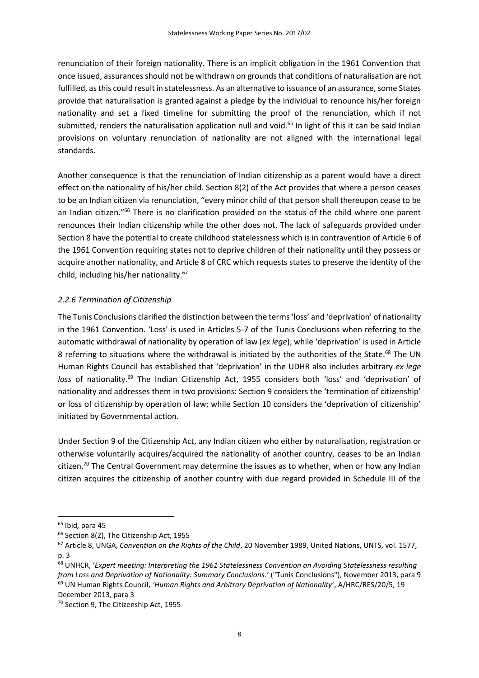renunciation of their foreign nationality. There is an implicit obligation in the 1961 Convention that once issued, assurances should not be withdrawn on grounds that conditions of naturalisation are not fulfilled, as this could result in statelessness. As an alternative to issuance of an assurance, some States provide that naturalisation is granted against a pledge by the individual to renounce his/her foreign nationality and set a fixed timeline for submitting the proof of the renunciation, which if not submitted, renders the naturalisation application null and void.<sup>65</sup> In light of this it can be said Indian provisions on voluntary renunciation of nationality are not aligned with the international legal standards.

Another consequence is that the renunciation of Indian citizenship as a parent would have a direct effect on the nationality of his/her child. Section 8(2) of the Act provides that where a person ceases to be an Indian citizen via renunciation, "every minor child of that person shall thereupon cease to be an Indian citizen."<sup>66</sup> There is no clarification provided on the status of the child where one parent renounces their Indian citizenship while the other does not. The lack of safeguards provided under Section 8 have the potential to create childhood statelessness which is in contravention of Article 6 of the 1961 Convention requiring states not to deprive children of their nationality until they possess or acquire another nationality, and Article 8 of CRC which requests states to preserve the identity of the child, including his/her nationality.<sup>67</sup>

# *2.2.6 Termination of Citizenship*

The Tunis Conclusions clarified the distinction between the terms 'loss' and 'deprivation' of nationality in the 1961 Convention. 'Loss' is used in Articles 5-7 of the Tunis Conclusions when referring to the automatic withdrawal of nationality by operation of law (*ex lege*); while 'deprivation' is used in Article 8 referring to situations where the withdrawal is initiated by the authorities of the State.<sup>68</sup> The UN Human Rights Council has established that 'deprivation' in the UDHR also includes arbitrary *ex lege*  loss of nationality.<sup>69</sup> The Indian Citizenship Act, 1955 considers both 'loss' and 'deprivation' of nationality and addresses them in two provisions: Section 9 considers the 'termination of citizenship' or loss of citizenship by operation of law; while Section 10 considers the 'deprivation of citizenship' initiated by Governmental action.

Under Section 9 of the Citizenship Act, any Indian citizen who either by naturalisation, registration or otherwise voluntarily acquires/acquired the nationality of another country, ceases to be an Indian citizen.<sup>70</sup> The Central Government may determine the issues as to whether, when or how any Indian citizen acquires the citizenship of another country with due regard provided in Schedule III of the

 $\overline{a}$ 

<sup>65</sup> Ibid*,* para 45

<sup>&</sup>lt;sup>66</sup> Section 8(2), The Citizenship Act, 1955

<sup>67</sup> Article 8, UNGA, *Convention on the Rights of the Child*, 20 November 1989, United Nations, UNTS, vol. 1577, p. 3

<sup>68</sup> UNHCR, '*Expert meeting: Interpreting the 1961 Statelessness Convention an Avoiding Statelessness resulting from Loss and Deprivation of Nationality: Summary Conclusions.'* ("Tunis Conclusions"), November 2013, para 9 <sup>69</sup> UN Human Rights Council, *'Human Rights and Arbitrary Deprivation of Nationality*', A/HRC/RES/20/5, 19 December 2013, para 3

<sup>70</sup> Section 9, The Citizenship Act, 1955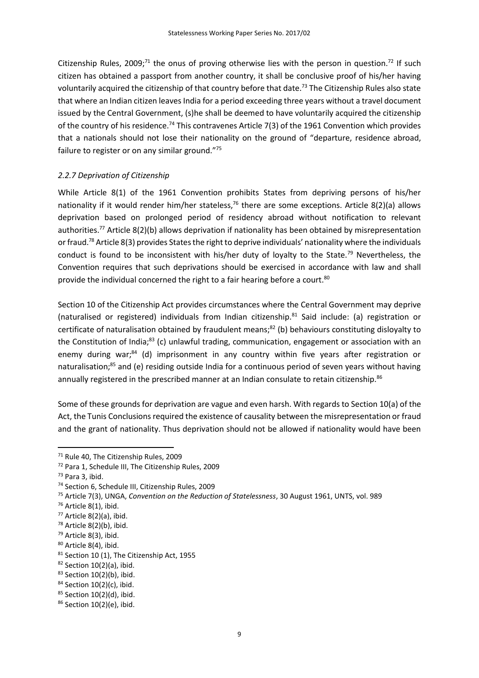Citizenship Rules, 2009;<sup>71</sup> the onus of proving otherwise lies with the person in question.<sup>72</sup> If such citizen has obtained a passport from another country, it shall be conclusive proof of his/her having voluntarily acquired the citizenship of that country before that date.<sup>73</sup> The Citizenship Rules also state that where an Indian citizen leaves India for a period exceeding three years without a travel document issued by the Central Government, (s)he shall be deemed to have voluntarily acquired the citizenship of the country of his residence.<sup>74</sup> This contravenes Article 7(3) of the 1961 Convention which provides that a nationals should not lose their nationality on the ground of "departure, residence abroad, failure to register or on any similar ground."75

# *2.2.7 Deprivation of Citizenship*

While Article 8(1) of the 1961 Convention prohibits States from depriving persons of his/her nationality if it would render him/her stateless,<sup>76</sup> there are some exceptions. Article 8(2)(a) allows deprivation based on prolonged period of residency abroad without notification to relevant authorities.<sup>77</sup> Article 8(2)(b) allows deprivation if nationality has been obtained by misrepresentation or fraud.<sup>78</sup> Article 8(3) provides States the right to deprive individuals' nationality where the individuals conduct is found to be inconsistent with his/her duty of loyalty to the State.<sup>79</sup> Nevertheless, the Convention requires that such deprivations should be exercised in accordance with law and shall provide the individual concerned the right to a fair hearing before a court.<sup>80</sup>

Section 10 of the Citizenship Act provides circumstances where the Central Government may deprive (naturalised or registered) individuals from Indian citizenship.<sup>81</sup> Said include: (a) registration or certificate of naturalisation obtained by fraudulent means;<sup>82</sup> (b) behaviours constituting disloyalty to the Constitution of India;<sup>83</sup> (c) unlawful trading, communication, engagement or association with an enemy during war;<sup>84</sup> (d) imprisonment in any country within five years after registration or naturalisation;<sup>85</sup> and (e) residing outside India for a continuous period of seven years without having annually registered in the prescribed manner at an Indian consulate to retain citizenship.<sup>86</sup>

Some of these grounds for deprivation are vague and even harsh. With regards to Section 10(a) of the Act, the Tunis Conclusions required the existence of causality between the misrepresentation or fraud and the grant of nationality. Thus deprivation should not be allowed if nationality would have been

1

<sup>71</sup> Rule 40, The Citizenship Rules, 2009

<sup>72</sup> Para 1, Schedule III, The Citizenship Rules, 2009

<sup>73</sup> Para 3, ibid.

<sup>74</sup> Section 6, Schedule III, Citizenship Rules, 2009

<sup>75</sup> Article 7(3), UNGA, *Convention on the Reduction of Statelessness*, 30 August 1961, UNTS, vol. 989

<sup>76</sup> Article 8(1), ibid.

<sup>77</sup> Article 8(2)(a), ibid.

 $78$  Article 8(2)(b), ibid.

<sup>79</sup> Article 8(3), ibid.

<sup>80</sup> Article 8(4), ibid.

<sup>81</sup> Section 10 (1), The Citizenship Act, 1955

 $82$  Section 10(2)(a), ibid.

 $83$  Section 10(2)(b), ibid.

<sup>84</sup> Section 10(2)(c), ibid.

<sup>85</sup> Section 10(2)(d), ibid.

<sup>86</sup> Section 10(2)(e), ibid.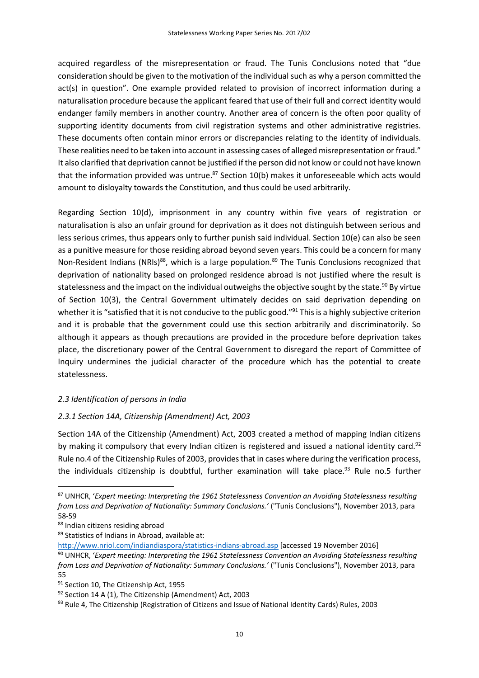acquired regardless of the misrepresentation or fraud. The Tunis Conclusions noted that "due consideration should be given to the motivation of the individual such as why a person committed the act(s) in question". One example provided related to provision of incorrect information during a naturalisation procedure because the applicant feared that use of their full and correct identity would endanger family members in another country. Another area of concern is the often poor quality of supporting identity documents from civil registration systems and other administrative registries. These documents often contain minor errors or discrepancies relating to the identity of individuals. These realities need to be taken into account in assessing cases of alleged misrepresentation or fraud." It also clarified that deprivation cannot be justified if the person did not know or could not have known that the information provided was untrue. $87$  Section 10(b) makes it unforeseeable which acts would amount to disloyalty towards the Constitution, and thus could be used arbitrarily.

Regarding Section 10(d), imprisonment in any country within five years of registration or naturalisation is also an unfair ground for deprivation as it does not distinguish between serious and less serious crimes, thus appears only to further punish said individual. Section 10(e) can also be seen as a punitive measure for those residing abroad beyond seven years. This could be a concern for many Non-Resident Indians (NRIs)<sup>88</sup>, which is a large population.<sup>89</sup> The Tunis Conclusions recognized that deprivation of nationality based on prolonged residence abroad is not justified where the result is statelessness and the impact on the individual outweighs the objective sought by the state.<sup>90</sup> By virtue of Section 10(3), the Central Government ultimately decides on said deprivation depending on whether it is "satisfied that it is not conducive to the public good."<sup>91</sup> This is a highly subjective criterion and it is probable that the government could use this section arbitrarily and discriminatorily. So although it appears as though precautions are provided in the procedure before deprivation takes place, the discretionary power of the Central Government to disregard the report of Committee of Inquiry undermines the judicial character of the procedure which has the potential to create statelessness.

# *2.3 Identification of persons in India*

# *2.3.1 Section 14A, Citizenship (Amendment) Act, 2003*

Section 14A of the Citizenship (Amendment) Act, 2003 created a method of mapping Indian citizens by making it compulsory that every Indian citizen is registered and issued a national identity card.<sup>92</sup> Rule no.4 of the Citizenship Rules of 2003, provides that in cases where during the verification process, the individuals citizenship is doubtful, further examination will take place.<sup>93</sup> Rule no.5 further

<sup>87</sup> UNHCR, '*Expert meeting: Interpreting the 1961 Statelessness Convention an Avoiding Statelessness resulting*  from Loss and Deprivation of Nationality: Summary Conclusions.' ("Tunis Conclusions"), November 2013, para 58-59

<sup>88</sup> Indian citizens residing abroad

<sup>89</sup> Statistics of Indians in Abroad, available at:

<http://www.nriol.com/indiandiaspora/statistics-indians-abroad.asp> [accessed 19 November 2016]

<sup>90</sup> UNHCR, '*Expert meeting: Interpreting the 1961 Statelessness Convention an Avoiding Statelessness resulting from Loss and Deprivation of Nationality: Summary Conclusions.'* ("Tunis Conclusions"), November 2013, para 55

<sup>91</sup> Section 10, The Citizenship Act, 1955

<sup>92</sup> Section 14 A (1), The Citizenship (Amendment) Act, 2003

<sup>93</sup> Rule 4, The Citizenship (Registration of Citizens and Issue of National Identity Cards) Rules, 2003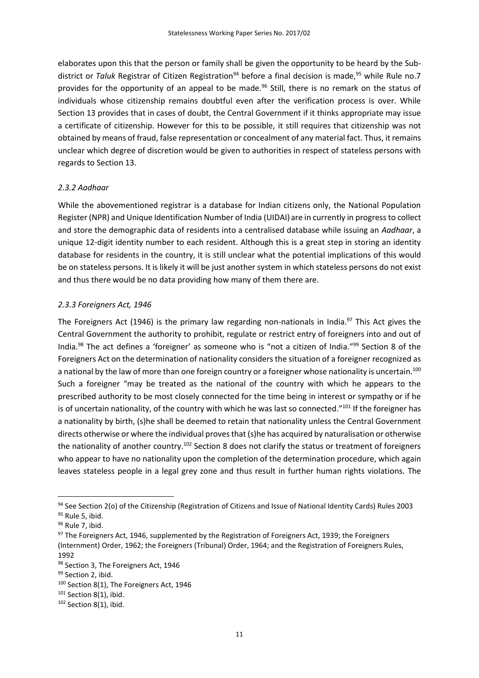elaborates upon this that the person or family shall be given the opportunity to be heard by the Subdistrict or *Taluk* Registrar of Citizen Registration<sup>94</sup> before a final decision is made, <sup>95</sup> while Rule no.7 provides for the opportunity of an appeal to be made.<sup>96</sup> Still, there is no remark on the status of individuals whose citizenship remains doubtful even after the verification process is over. While Section 13 provides that in cases of doubt, the Central Government if it thinks appropriate may issue a certificate of citizenship. However for this to be possible, it still requires that citizenship was not obtained by means of fraud, false representation or concealment of any material fact. Thus, it remains unclear which degree of discretion would be given to authorities in respect of stateless persons with regards to Section 13.

## *2.3.2 Aadhaar*

While the abovementioned registrar is a database for Indian citizens only, the National Population Register (NPR) and Unique Identification Number of India (UIDAI) are in currently in progress to collect and store the demographic data of residents into a centralised database while issuing an *Aadhaar*, a unique 12-digit identity number to each resident. Although this is a great step in storing an identity database for residents in the country, it is still unclear what the potential implications of this would be on stateless persons. It is likely it will be just another system in which stateless persons do not exist and thus there would be no data providing how many of them there are.

## *2.3.3 Foreigners Act, 1946*

The Foreigners Act (1946) is the primary law regarding non-nationals in India.<sup>97</sup> This Act gives the Central Government the authority to prohibit, regulate or restrict entry of foreigners into and out of India.<sup>98</sup> The act defines a 'foreigner' as someone who is "not a citizen of India."<sup>99</sup> Section 8 of the Foreigners Act on the determination of nationality considers the situation of a foreigner recognized as a national by the law of more than one foreign country or a foreigner whose nationality is uncertain.<sup>100</sup> Such a foreigner "may be treated as the national of the country with which he appears to the prescribed authority to be most closely connected for the time being in interest or sympathy or if he is of uncertain nationality, of the country with which he was last so connected."<sup>101</sup> If the foreigner has a nationality by birth, (s)he shall be deemed to retain that nationality unless the Central Government directs otherwise or where the individual proves that (s)he has acquired by naturalisation or otherwise the nationality of another country.<sup>102</sup> Section 8 does not clarify the status or treatment of foreigners who appear to have no nationality upon the completion of the determination procedure, which again leaves stateless people in a legal grey zone and thus result in further human rights violations. The

1

<sup>94</sup> See Section 2(o) of the Citizenship (Registration of Citizens and Issue of National Identity Cards) Rules 2003 95 Rule 5, ibid.

<sup>96</sup> Rule 7, ibid.

<sup>&</sup>lt;sup>97</sup> The Foreigners Act, 1946, supplemented by the Registration of Foreigners Act, 1939; the Foreigners (Internment) Order, 1962; the Foreigners (Tribunal) Order, 1964; and the Registration of Foreigners Rules, 1992

<sup>98</sup> Section 3, The Foreigners Act, 1946

<sup>99</sup> Section 2, ibid.

<sup>100</sup> Section 8(1), The Foreigners Act, 1946

<sup>&</sup>lt;sup>101</sup> Section 8(1), ibid.

<sup>&</sup>lt;sup>102</sup> Section 8(1), ibid.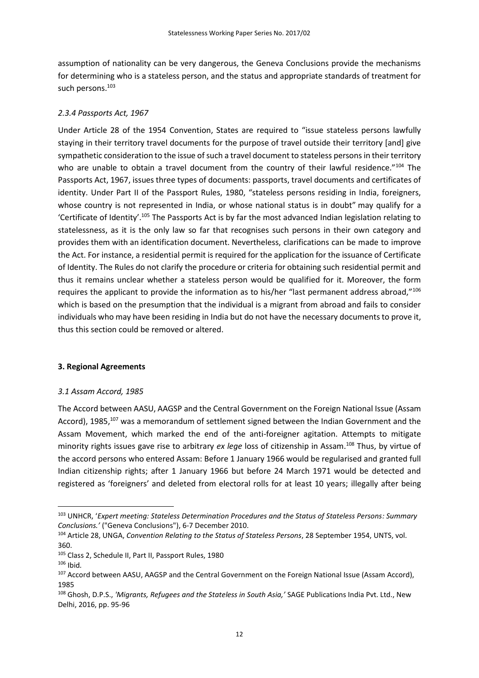assumption of nationality can be very dangerous, the Geneva Conclusions provide the mechanisms for determining who is a stateless person, and the status and appropriate standards of treatment for such persons.<sup>103</sup>

## *2.3.4 Passports Act, 1967*

Under Article 28 of the 1954 Convention, States are required to "issue stateless persons lawfully staying in their territory travel documents for the purpose of travel outside their territory [and] give sympathetic consideration to the issue of such a travel document to stateless persons in their territory who are unable to obtain a travel document from the country of their lawful residence."104 The Passports Act, 1967, issues three types of documents: passports, travel documents and certificates of identity. Under Part II of the Passport Rules, 1980, "stateless persons residing in India, foreigners, whose country is not represented in India, or whose national status is in doubt" may qualify for a 'Certificate of Identity'.<sup>105</sup> The Passports Act is by far the most advanced Indian legislation relating to statelessness, as it is the only law so far that recognises such persons in their own category and provides them with an identification document. Nevertheless, clarifications can be made to improve the Act. For instance, a residential permit is required for the application for the issuance of Certificate of Identity. The Rules do not clarify the procedure or criteria for obtaining such residential permit and thus it remains unclear whether a stateless person would be qualified for it. Moreover, the form requires the applicant to provide the information as to his/her "last permanent address abroad,"<sup>106</sup> which is based on the presumption that the individual is a migrant from abroad and fails to consider individuals who may have been residing in India but do not have the necessary documents to prove it, thus this section could be removed or altered.

### **3. Regional Agreements**

## *3.1 Assam Accord, 1985*

The Accord between AASU, AAGSP and the Central Government on the Foreign National Issue (Assam Accord), 1985,<sup>107</sup> was a memorandum of settlement signed between the Indian Government and the Assam Movement, which marked the end of the anti-foreigner agitation. Attempts to mitigate minority rights issues gave rise to arbitrary *ex lege* loss of citizenship in Assam.<sup>108</sup> Thus, by virtue of the accord persons who entered Assam: Before 1 January 1966 would be regularised and granted full Indian citizenship rights; after 1 January 1966 but before 24 March 1971 would be detected and registered as 'foreigners' and deleted from electoral rolls for at least 10 years; illegally after being

<sup>103</sup> UNHCR, '*Expert meeting: Stateless Determination Procedures and the Status of Stateless Persons: Summary Conclusions.'* ("Geneva Conclusions"), 6-7 December 2010.

<sup>104</sup> Article 28, UNGA, *Convention Relating to the Status of Stateless Persons*, 28 September 1954, UNTS, vol. 360.

<sup>105</sup> Class 2, Schedule II, Part II, Passport Rules, 1980

<sup>106</sup> Ibid*.*

<sup>107</sup> Accord between AASU, AAGSP and the Central Government on the Foreign National Issue (Assam Accord), 1985

<sup>108</sup> Ghosh, D.P.S., *'Migrants, Refugees and the Stateless in South Asia,'* SAGE Publications India Pvt. Ltd., New Delhi, 2016, pp. 95-96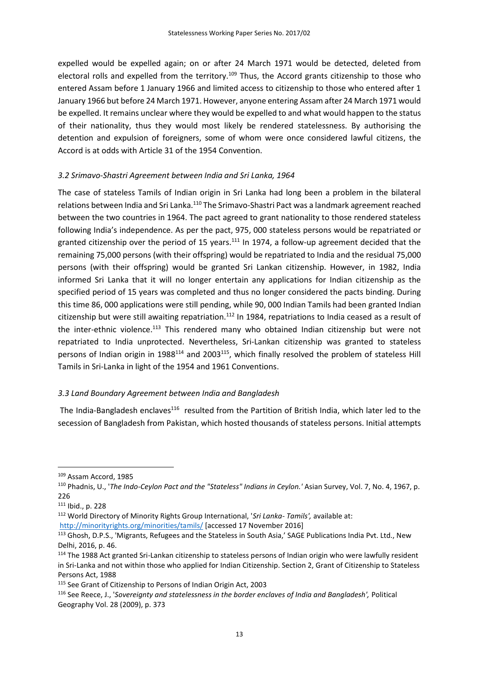expelled would be expelled again; on or after 24 March 1971 would be detected, deleted from electoral rolls and expelled from the territory.<sup>109</sup> Thus, the Accord grants citizenship to those who entered Assam before 1 January 1966 and limited access to citizenship to those who entered after 1 January 1966 but before 24 March 1971. However, anyone entering Assam after 24 March 1971 would be expelled. It remains unclear where they would be expelled to and what would happen to the status of their nationality, thus they would most likely be rendered statelessness. By authorising the detention and expulsion of foreigners, some of whom were once considered lawful citizens, the Accord is at odds with Article 31 of the 1954 Convention.

# *3.2 Srimavo-Shastri Agreement between India and Sri Lanka, 1964*

The case of stateless Tamils of Indian origin in Sri Lanka had long been a problem in the bilateral relations between India and Sri Lanka.<sup>110</sup> The Srimavo-Shastri Pact was a landmark agreement reached between the two countries in 1964. The pact agreed to grant nationality to those rendered stateless following India's independence. As per the pact, 975, 000 stateless persons would be repatriated or granted citizenship over the period of 15 years.<sup>111</sup> In 1974, a follow-up agreement decided that the remaining 75,000 persons (with their offspring) would be repatriated to India and the residual 75,000 persons (with their offspring) would be granted Sri Lankan citizenship. However, in 1982, India informed Sri Lanka that it will no longer entertain any applications for Indian citizenship as the specified period of 15 years was completed and thus no longer considered the pacts binding. During this time 86, 000 applications were still pending, while 90, 000 Indian Tamils had been granted Indian citizenship but were still awaiting repatriation.<sup>112</sup> In 1984, repatriations to India ceased as a result of the inter-ethnic violence.<sup>113</sup> This rendered many who obtained Indian citizenship but were not repatriated to India unprotected. Nevertheless, Sri-Lankan citizenship was granted to stateless persons of Indian origin in 1988<sup>114</sup> and 2003<sup>115</sup>, which finally resolved the problem of stateless Hill Tamils in Sri-Lanka in light of the 1954 and 1961 Conventions.

# *3.3 Land Boundary Agreement between India and Bangladesh*

The India-Bangladesh enclaves<sup>116</sup> resulted from the Partition of British India, which later led to the secession of Bangladesh from Pakistan, which hosted thousands of stateless persons. Initial attempts

<sup>109</sup> Assam Accord, 1985

<sup>110</sup> Phadnis, U., '*The Indo-Ceylon Pact and the "Stateless" Indians in Ceylon.'* Asian Survey, Vol. 7, No. 4, 1967, p. 226

<sup>111</sup> Ibid., p. 228

<sup>112</sup> World Directory of Minority Rights Group International, '*Sri Lanka- Tamils',* available at: <http://minorityrights.org/minorities/tamils/> [accessed 17 November 2016]

<sup>113</sup> Ghosh, D.P.S., 'Migrants, Refugees and the Stateless in South Asia,' SAGE Publications India Pvt. Ltd., New Delhi, 2016, p. 46.

<sup>&</sup>lt;sup>114</sup> The 1988 Act granted Sri-Lankan citizenship to stateless persons of Indian origin who were lawfully resident in Sri-Lanka and not within those who applied for Indian Citizenship. Section 2, Grant of Citizenship to Stateless Persons Act, 1988

<sup>115</sup> See Grant of Citizenship to Persons of Indian Origin Act, 2003

<sup>116</sup> See Reece, J., '*Sovereignty and statelessness in the border enclaves of India and Bangladesh',* Political Geography Vol. 28 (2009), p. 373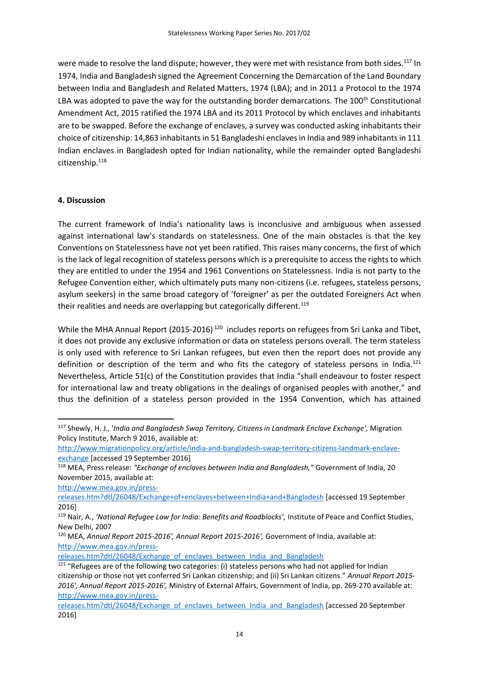were made to resolve the land dispute; however, they were met with resistance from both sides.<sup>117</sup> In 1974, India and Bangladesh signed the Agreement Concerning the Demarcation of the Land Boundary between India and Bangladesh and Related Matters, 1974 (LBA); and in 2011 a Protocol to the 1974 LBA was adopted to pave the way for the outstanding border demarcations. The 100<sup>th</sup> Constitutional Amendment Act, 2015 ratified the 1974 LBA and its 2011 Protocol by which enclaves and inhabitants are to be swapped. Before the exchange of enclaves, a survey was conducted asking inhabitants their choice of citizenship: 14,863 inhabitants in 51 Bangladeshi enclaves in India and 989 inhabitants in 111 Indian enclaves in Bangladesh opted for Indian nationality, while the remainder opted Bangladeshi citizenship.<sup>118</sup>

# **4. Discussion**

The current framework of India's nationality laws is inconclusive and ambiguous when assessed against international law's standards on statelessness. One of the main obstacles is that the key Conventions on Statelessness have not yet been ratified. This raises many concerns, the first of which is the lack of legal recognition of stateless persons which is a prerequisite to access the rights to which they are entitled to under the 1954 and 1961 Conventions on Statelessness. India is not party to the Refugee Convention either, which ultimately puts many non-citizens (i.e. refugees, stateless persons, asylum seekers) in the same broad category of 'foreigner' as per the outdated Foreigners Act when their realities and needs are overlapping but categorically different.<sup>119</sup>

While the MHA Annual Report (2015-2016)<sup>120</sup> includes reports on refugees from Sri Lanka and Tibet, it does not provide any exclusive information or data on stateless persons overall. The term stateless is only used with reference to Sri Lankan refugees, but even then the report does not provide any definition or description of the term and who fits the category of stateless persons in India.<sup>121</sup> Nevertheless, Article 51(c) of the Constitution provides that India "shall endeavour to foster respect for international law and treaty obligations in the dealings of organised peoples with another," and thus the definition of a stateless person provided in the 1954 Convention, which has attained

[http://www.mea.gov.in/press-](http://www.mea.gov.in/press-releases.htm?dtl/26048/Exchange+of+enclaves+between+India+and+Bangladesh)

**.** 

[releases.htm?dtl/26048/Exchange+of+enclaves+between+India+and+Bangladesh](http://www.mea.gov.in/press-releases.htm?dtl/26048/Exchange+of+enclaves+between+India+and+Bangladesh) [accessed 19 September 2016]

[releases.htm?dtl/26048/Exchange\\_of\\_enclaves\\_between\\_India\\_and\\_Bangladesh](http://www.mea.gov.in/press-releases.htm?dtl/26048/Exchange_of_enclaves_between_India_and_Bangladesh)

<sup>117</sup> Shewly, H. J., '*India and Bangladesh Swap Territory, Citizens in Landmark Enclave Exchange',* Migration Policy Institute, March 9 2016, available at:

[http://www.migrationpolicy.org/article/india-and-bangladesh-swap-territory-citizens-landmark-enclave](http://www.migrationpolicy.org/article/india-and-bangladesh-swap-territory-citizens-landmark-enclave-exchange)[exchange](http://www.migrationpolicy.org/article/india-and-bangladesh-swap-territory-citizens-landmark-enclave-exchange) [accessed 19 September 2016]

<sup>118</sup> MEA, Press release: *"Exchange of enclaves between India and Bangladesh,"* Government of India, 20 November 2015, available at:

<sup>119</sup> Nair, A., *'National Refugee Law for India: Benefits and Roadblocks',* Institute of Peace and Conflict Studies, New Delhi, 2007

<sup>120</sup> MEA, *Annual Report 2015-2016', Annual Report 2015-2016',* Government of India, available at: [http://www.mea.gov.in/press-](http://www.mea.gov.in/press-releases.htm?dtl/26048/Exchange_of_enclaves_between_India_and_Bangladesh)

<sup>&</sup>lt;sup>121</sup> "Refugees are of the following two categories: (i) stateless persons who had not applied for Indian citizenship or those not yet conferred Sri Lankan citizenship; and (ii) Sri Lankan citizens." *Annual Report 2015- 2016', Annual Report 2015-2016',* Ministry of External Affairs, Government of India, pp. 269-270 available at: [http://www.mea.gov.in/press-](http://www.mea.gov.in/press-releases.htm?dtl/26048/Exchange_of_enclaves_between_India_and_Bangladesh)

[releases.htm?dtl/26048/Exchange\\_of\\_enclaves\\_between\\_India\\_and\\_Bangladesh](http://www.mea.gov.in/press-releases.htm?dtl/26048/Exchange_of_enclaves_between_India_and_Bangladesh) [accessed 20 September 2016]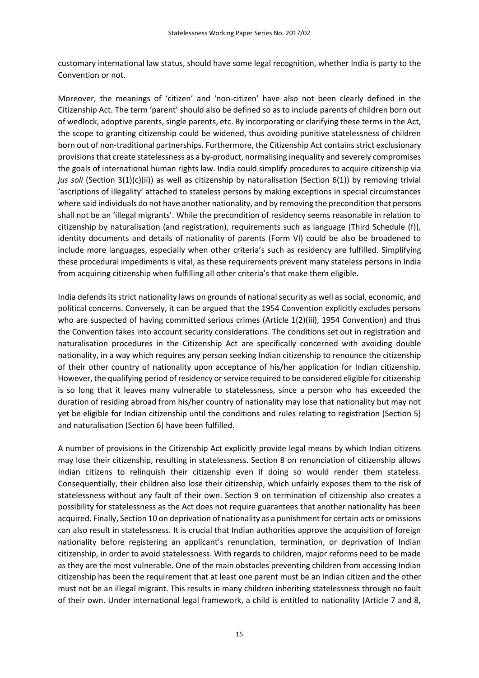customary international law status, should have some legal recognition, whether India is party to the Convention or not.

Moreover, the meanings of 'citizen' and 'non-citizen' have also not been clearly defined in the Citizenship Act. The term 'parent' should also be defined so as to include parents of children born out of wedlock, adoptive parents, single parents, etc. By incorporating or clarifying these terms in the Act, the scope to granting citizenship could be widened, thus avoiding punitive statelessness of children born out of non-traditional partnerships. Furthermore, the Citizenship Act contains strict exclusionary provisions that create statelessness as a by-product, normalising inequality and severely compromises the goals of international human rights law. India could simplify procedures to acquire citizenship via *jus soli* (Section 3(1)(c)(ii)) as well as citizenship by naturalisation (Section 6(1)) by removing trivial 'ascriptions of illegality' attached to stateless persons by making exceptions in special circumstances where said individuals do not have another nationality, and by removing the precondition that persons shall not be an 'illegal migrants'. While the precondition of residency seems reasonable in relation to citizenship by naturalisation (and registration), requirements such as language (Third Schedule (f)), identity documents and details of nationality of parents (Form VI) could be also be broadened to include more languages, especially when other criteria's such as residency are fulfilled. Simplifying these procedural impediments is vital, as these requirements prevent many stateless persons in India from acquiring citizenship when fulfilling all other criteria's that make them eligible.

India defends its strict nationality laws on grounds of national security as well as social, economic, and political concerns. Conversely, it can be argued that the 1954 Convention explicitly excludes persons who are suspected of having committed serious crimes (Article 1(2)(iii), 1954 Convention) and thus the Convention takes into account security considerations. The conditions set out in registration and naturalisation procedures in the Citizenship Act are specifically concerned with avoiding double nationality, in a way which requires any person seeking Indian citizenship to renounce the citizenship of their other country of nationality upon acceptance of his/her application for Indian citizenship. However, the qualifying period of residency or service required to be considered eligible for citizenship is so long that it leaves many vulnerable to statelessness, since a person who has exceeded the duration of residing abroad from his/her country of nationality may lose that nationality but may not yet be eligible for Indian citizenship until the conditions and rules relating to registration (Section 5) and naturalisation (Section 6) have been fulfilled.

A number of provisions in the Citizenship Act explicitly provide legal means by which Indian citizens may lose their citizenship, resulting in statelessness. Section 8 on renunciation of citizenship allows Indian citizens to relinquish their citizenship even if doing so would render them stateless. Consequentially, their children also lose their citizenship, which unfairly exposes them to the risk of statelessness without any fault of their own. Section 9 on termination of citizenship also creates a possibility for statelessness as the Act does not require guarantees that another nationality has been acquired. Finally, Section 10 on deprivation of nationality as a punishment for certain acts or omissions can also result in statelessness. It is crucial that Indian authorities approve the acquisition of foreign nationality before registering an applicant's renunciation, termination, or deprivation of Indian citizenship, in order to avoid statelessness. With regards to children, major reforms need to be made as they are the most vulnerable. One of the main obstacles preventing children from accessing Indian citizenship has been the requirement that at least one parent must be an Indian citizen and the other must not be an illegal migrant. This results in many children inheriting statelessness through no fault of their own. Under international legal framework, a child is entitled to nationality (Article 7 and 8,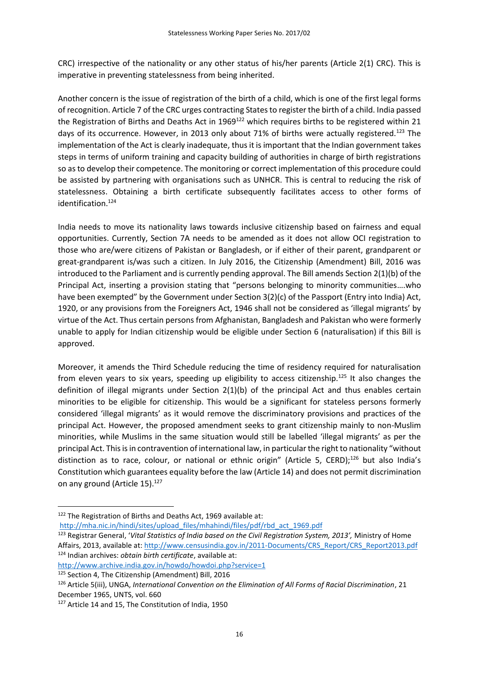CRC) irrespective of the nationality or any other status of his/her parents (Article 2(1) CRC). This is imperative in preventing statelessness from being inherited.

Another concern is the issue of registration of the birth of a child, which is one of the first legal forms of recognition. Article 7 of the CRC urges contracting States to register the birth of a child. India passed the Registration of Births and Deaths Act in 1969<sup>122</sup> which requires births to be registered within 21 days of its occurrence. However, in 2013 only about 71% of births were actually registered.<sup>123</sup> The implementation of the Act is clearly inadequate, thus it is important that the Indian government takes steps in terms of uniform training and capacity building of authorities in charge of birth registrations so as to develop their competence. The monitoring or correct implementation of this procedure could be assisted by partnering with organisations such as UNHCR. This is central to reducing the risk of statelessness. Obtaining a birth certificate subsequently facilitates access to other forms of identification.<sup>124</sup>

India needs to move its nationality laws towards inclusive citizenship based on fairness and equal opportunities. Currently, Section 7A needs to be amended as it does not allow OCI registration to those who are/were citizens of Pakistan or Bangladesh, or if either of their parent, grandparent or great-grandparent is/was such a citizen. In July 2016, the Citizenship (Amendment) Bill, 2016 was introduced to the Parliament and is currently pending approval. The Bill amends Section 2(1)(b) of the Principal Act, inserting a provision stating that "persons belonging to minority communities….who have been exempted" by the Government under Section 3(2)(c) of the Passport (Entry into India) Act, 1920, or any provisions from the Foreigners Act, 1946 shall not be considered as 'illegal migrants' by virtue of the Act. Thus certain persons from Afghanistan, Bangladesh and Pakistan who were formerly unable to apply for Indian citizenship would be eligible under Section 6 (naturalisation) if this Bill is approved.

Moreover, it amends the Third Schedule reducing the time of residency required for naturalisation from eleven years to six years, speeding up eligibility to access citizenship.<sup>125</sup> It also changes the definition of illegal migrants under Section 2(1)(b) of the principal Act and thus enables certain minorities to be eligible for citizenship. This would be a significant for stateless persons formerly considered 'illegal migrants' as it would remove the discriminatory provisions and practices of the principal Act. However, the proposed amendment seeks to grant citizenship mainly to non-Muslim minorities, while Muslims in the same situation would still be labelled 'illegal migrants' as per the principal Act. This is in contravention of international law, in particular the right to nationality "without distinction as to race, colour, or national or ethnic origin" (Article 5, CERD);<sup>126</sup> but also India's Constitution which guarantees equality before the law (Article 14) and does not permit discrimination on any ground (Article 15).<sup>127</sup>

[http://mha.nic.in/hindi/sites/upload\\_files/mhahindi/files/pdf/rbd\\_act\\_1969.pdf](http://mha.nic.in/hindi/sites/upload_files/mhahindi/files/pdf/rbd_act_1969.pdf)

<http://www.archive.india.gov.in/howdo/howdoi.php?service=1>

<sup>125</sup> Section 4, The Citizenship (Amendment) Bill, 2016

<sup>122</sup> The Registration of Births and Deaths Act, 1969 available at:

<sup>123</sup> Registrar General, '*Vital Statistics of India based on the Civil Registration System, 2013',* Ministry of Home Affairs, 2013, available at[: http://www.censusindia.gov.in/2011-Documents/CRS\\_Report/CRS\\_Report2013.pdf](http://www.censusindia.gov.in/2011-Documents/CRS_Report/CRS_Report2013.pdf) <sup>124</sup> Indian archives: *obtain birth certificate*, available at:

<sup>126</sup> Article 5(iii), UNGA, *International Convention on the Elimination of All Forms of Racial Discrimination*, 21 December 1965, UNTS, vol. 660

<sup>127</sup> Article 14 and 15, The Constitution of India, 1950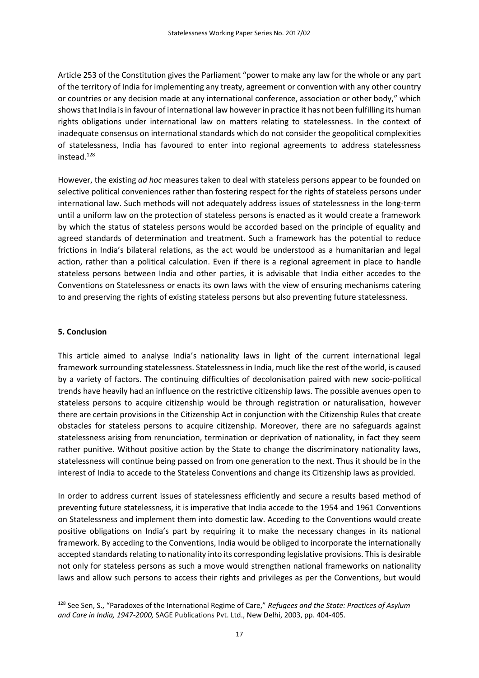Article 253 of the Constitution gives the Parliament "power to make any law for the whole or any part of the territory of India for implementing any treaty, agreement or convention with any other country or countries or any decision made at any international conference, association or other body," which shows that India is in favour of international law however in practice it has not been fulfilling its human rights obligations under international law on matters relating to statelessness. In the context of inadequate consensus on international standards which do not consider the geopolitical complexities of statelessness, India has favoured to enter into regional agreements to address statelessness instead.<sup>128</sup>

However, the existing *ad hoc* measures taken to deal with stateless persons appear to be founded on selective political conveniences rather than fostering respect for the rights of stateless persons under international law. Such methods will not adequately address issues of statelessness in the long-term until a uniform law on the protection of stateless persons is enacted as it would create a framework by which the status of stateless persons would be accorded based on the principle of equality and agreed standards of determination and treatment. Such a framework has the potential to reduce frictions in India's bilateral relations, as the act would be understood as a humanitarian and legal action, rather than a political calculation. Even if there is a regional agreement in place to handle stateless persons between India and other parties, it is advisable that India either accedes to the Conventions on Statelessness or enacts its own laws with the view of ensuring mechanisms catering to and preserving the rights of existing stateless persons but also preventing future statelessness.

## **5. Conclusion**

**.** 

This article aimed to analyse India's nationality laws in light of the current international legal framework surrounding statelessness. Statelessness in India, much like the rest of the world, is caused by a variety of factors. The continuing difficulties of decolonisation paired with new socio-political trends have heavily had an influence on the restrictive citizenship laws. The possible avenues open to stateless persons to acquire citizenship would be through registration or naturalisation, however there are certain provisions in the Citizenship Act in conjunction with the Citizenship Rules that create obstacles for stateless persons to acquire citizenship. Moreover, there are no safeguards against statelessness arising from renunciation, termination or deprivation of nationality, in fact they seem rather punitive. Without positive action by the State to change the discriminatory nationality laws, statelessness will continue being passed on from one generation to the next. Thus it should be in the interest of India to accede to the Stateless Conventions and change its Citizenship laws as provided.

In order to address current issues of statelessness efficiently and secure a results based method of preventing future statelessness, it is imperative that India accede to the 1954 and 1961 Conventions on Statelessness and implement them into domestic law. Acceding to the Conventions would create positive obligations on India's part by requiring it to make the necessary changes in its national framework. By acceding to the Conventions, India would be obliged to incorporate the internationally accepted standards relating to nationality into its corresponding legislative provisions. This is desirable not only for stateless persons as such a move would strengthen national frameworks on nationality laws and allow such persons to access their rights and privileges as per the Conventions, but would

<sup>128</sup> See Sen, S., "Paradoxes of the International Regime of Care," *Refugees and the State: Practices of Asylum and Care in India, 1947-2000,* SAGE Publications Pvt. Ltd., New Delhi, 2003, pp. 404-405.